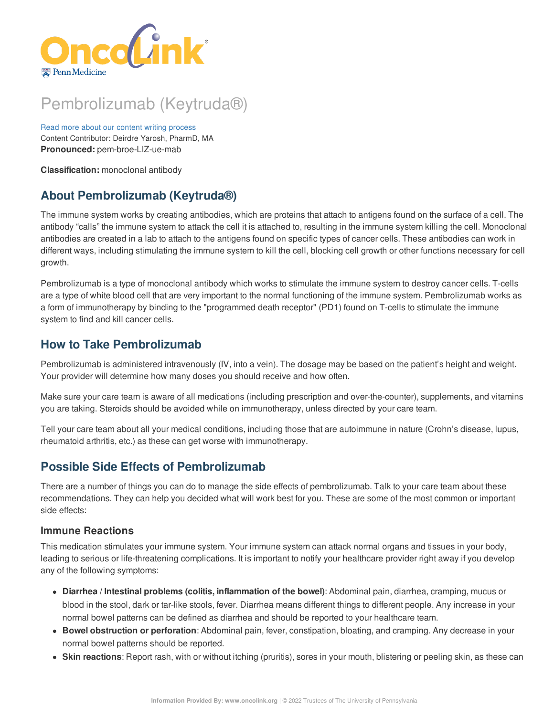

# Pembrolizumab (Keytruda®)

Read more about our content writing [process](https://www.oncolink.org/chemo-printer/25965?theme=oncolink/about/content) Content Contributor: Deirdre Yarosh, PharmD, MA **Pronounced:** pem-broe-LIZ-ue-mab

**Classification:** monoclonal antibody

## **About Pembrolizumab (Keytruda®)**

The immune system works by creating antibodies, which are proteins that attach to antigens found on the surface of a cell. The antibody "calls" the immune system to attack the cell it is attached to, resulting in the immune system killing the cell. Monoclonal antibodies are created in a lab to attach to the antigens found on specific types of cancer cells. These antibodies can work in different ways, including stimulating the immune system to kill the cell, blocking cell growth or other functions necessary for cell growth.

Pembrolizumab is a type of monoclonal antibody which works to stimulate the immune system to destroy cancer cells. T-cells are a type of white blood cell that are very important to the normal functioning of the immune system. Pembrolizumab works as a form of immunotherapy by binding to the "programmed death receptor" (PD1) found on T-cells to stimulate the immune system to find and kill cancer cells.

## **How to Take Pembrolizumab**

Pembrolizumab is administered intravenously (IV, into a vein). The dosage may be based on the patient's height and weight. Your provider will determine how many doses you should receive and how often.

Make sure your care team is aware of all medications (including prescription and over-the-counter), supplements, and vitamins you are taking. Steroids should be avoided while on immunotherapy, unless directed by your care team.

Tell your care team about all your medical conditions, including those that are autoimmune in nature (Crohn's disease, lupus, rheumatoid arthritis, etc.) as these can get worse with immunotherapy.

## **Possible Side Effects of Pembrolizumab**

There are a number of things you can do to manage the side effects of pembrolizumab. Talk to your care team about these recommendations. They can help you decided what will work best for you. These are some of the most common or important side effects:

#### **Immune Reactions**

This medication stimulates your immune system. Your immune system can attack normal organs and tissues in your body, leading to serious or life-threatening complications. It is important to notify your healthcare provider right away if you develop any of the following symptoms:

- **Diarrhea / Intestinal problems (colitis, inflammation of the bowel)**: Abdominal pain, diarrhea, cramping, mucus or blood in the stool, dark or tar-like stools, fever. Diarrhea means different things to different people. Any increase in your normal bowel patterns can be defined as diarrhea and should be reported to your healthcare team.
- **Bowel obstruction or perforation**: Abdominal pain, fever, constipation, bloating, and cramping. Any decrease in your normal bowel patterns should be reported.
- **Skin reactions**: Report rash, with or without itching (pruritis), sores in your mouth, blistering or peeling skin, as these can